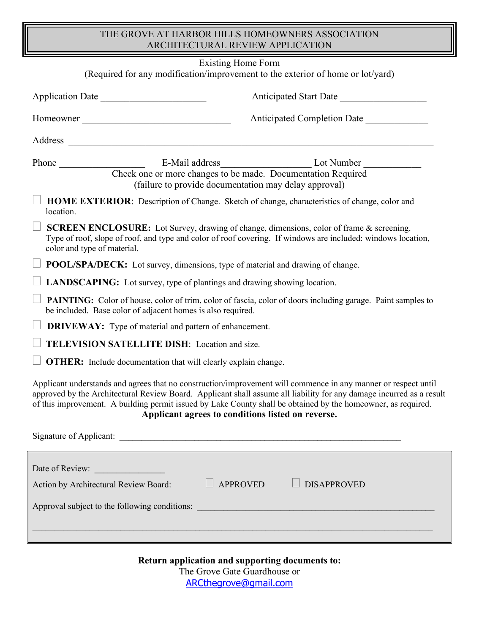## THE GROVE AT HARBOR HILLS HOMEOWNERS ASSOCIATION ARCHITECTURAL REVIEW APPLICATION

| <b>Existing Home Form</b>                                                      |                                                                                                                       |                                                                                                                                                                                                                                                                                                                                                         |
|--------------------------------------------------------------------------------|-----------------------------------------------------------------------------------------------------------------------|---------------------------------------------------------------------------------------------------------------------------------------------------------------------------------------------------------------------------------------------------------------------------------------------------------------------------------------------------------|
|                                                                                | (Required for any modification/improvement to the exterior of home or lot/yard)                                       |                                                                                                                                                                                                                                                                                                                                                         |
|                                                                                | Application Date                                                                                                      | Anticipated Start Date                                                                                                                                                                                                                                                                                                                                  |
|                                                                                | Anticipated Completion Date<br>Homeowner                                                                              |                                                                                                                                                                                                                                                                                                                                                         |
|                                                                                |                                                                                                                       |                                                                                                                                                                                                                                                                                                                                                         |
|                                                                                | Check one or more changes to be made. Documentation Required<br>(failure to provide documentation may delay approval) |                                                                                                                                                                                                                                                                                                                                                         |
| location.                                                                      | HOME EXTERIOR: Description of Change. Sketch of change, characteristics of change, color and                          |                                                                                                                                                                                                                                                                                                                                                         |
| color and type of material.                                                    | <b>SCREEN ENCLOSURE:</b> Lot Survey, drawing of change, dimensions, color of frame & screening.                       | Type of roof, slope of roof, and type and color of roof covering. If windows are included: windows location,                                                                                                                                                                                                                                            |
| POOL/SPA/DECK: Lot survey, dimensions, type of material and drawing of change. |                                                                                                                       |                                                                                                                                                                                                                                                                                                                                                         |
| LANDSCAPING: Lot survey, type of plantings and drawing showing location.       |                                                                                                                       |                                                                                                                                                                                                                                                                                                                                                         |
|                                                                                | be included. Base color of adjacent homes is also required.                                                           | <b>PAINTING:</b> Color of house, color of trim, color of fascia, color of doors including garage. Paint samples to                                                                                                                                                                                                                                      |
|                                                                                | <b>DRIVEWAY:</b> Type of material and pattern of enhancement.                                                         |                                                                                                                                                                                                                                                                                                                                                         |
| TELEVISION SATELLITE DISH: Location and size.                                  |                                                                                                                       |                                                                                                                                                                                                                                                                                                                                                         |
| <b>OTHER:</b> Include documentation that will clearly explain change.          |                                                                                                                       |                                                                                                                                                                                                                                                                                                                                                         |
|                                                                                | <b>Applicant agrees to conditions listed on reverse.</b>                                                              | Applicant understands and agrees that no construction/improvement will commence in any manner or respect until<br>approved by the Architectural Review Board. Applicant shall assume all liability for any damage incurred as a result<br>of this improvement. A building permit issued by Lake County shall be obtained by the homeowner, as required. |
|                                                                                |                                                                                                                       |                                                                                                                                                                                                                                                                                                                                                         |
| Date of Review:                                                                |                                                                                                                       |                                                                                                                                                                                                                                                                                                                                                         |
| <b>APPROVED</b><br><b>DISAPPROVED</b><br>Action by Architectural Review Board: |                                                                                                                       |                                                                                                                                                                                                                                                                                                                                                         |
| Approval subject to the following conditions:                                  |                                                                                                                       |                                                                                                                                                                                                                                                                                                                                                         |
|                                                                                |                                                                                                                       |                                                                                                                                                                                                                                                                                                                                                         |

**Return application and supporting documents to:**  The Grove Gate Guardhouse or [ARCthegrove@gmail.com](mailto:ARCthegrove@gmail.com)